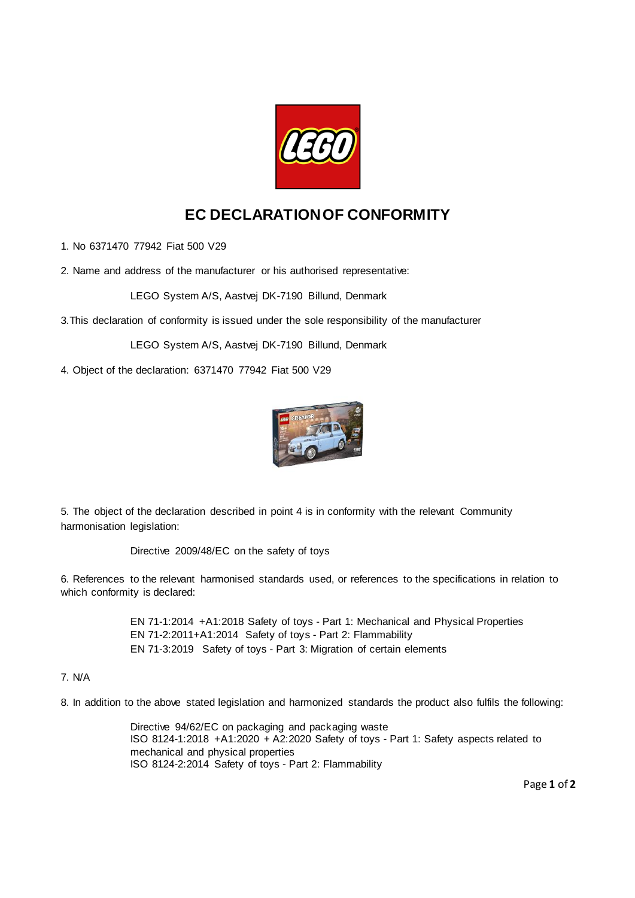

## **EC DECLARATION OF CONFORMITY**

1. No 6371470 77942 Fiat 500 V29

2. Name and address of the manufacturer or his authorised representative:

LEGO System A/S, Aastvej DK-7190 Billund, Denmark

3.This declaration of conformity is issued under the sole responsibility of the manufacturer

LEGO System A/S, Aastvej DK-7190 Billund, Denmark

4. Object of the declaration: 6371470 77942 Fiat 500 V29



5. The object of the declaration described in point 4 is in conformity with the relevant Community harmonisation legislation:

Directive 2009/48/EC on the safety of toys

6. References to the relevant harmonised standards used, or references to the specifications in relation to which conformity is declared:

> EN 71-1:2014 +A1:2018 Safety of toys - Part 1: Mechanical and Physical Properties EN 71-2:2011+A1:2014 Safety of toys - Part 2: Flammability EN 71-3:2019 Safety of toys - Part 3: Migration of certain elements

## 7. N/A

8. In addition to the above stated legislation and harmonized standards the product also fulfils the following:

Directive 94/62/EC on packaging and packaging waste ISO 8124-1:2018 +A1:2020 + A2:2020 Safety of toys - Part 1: Safety aspects related to mechanical and physical properties ISO 8124-2:2014 Safety of toys - Part 2: Flammability

Page **1** of **2**